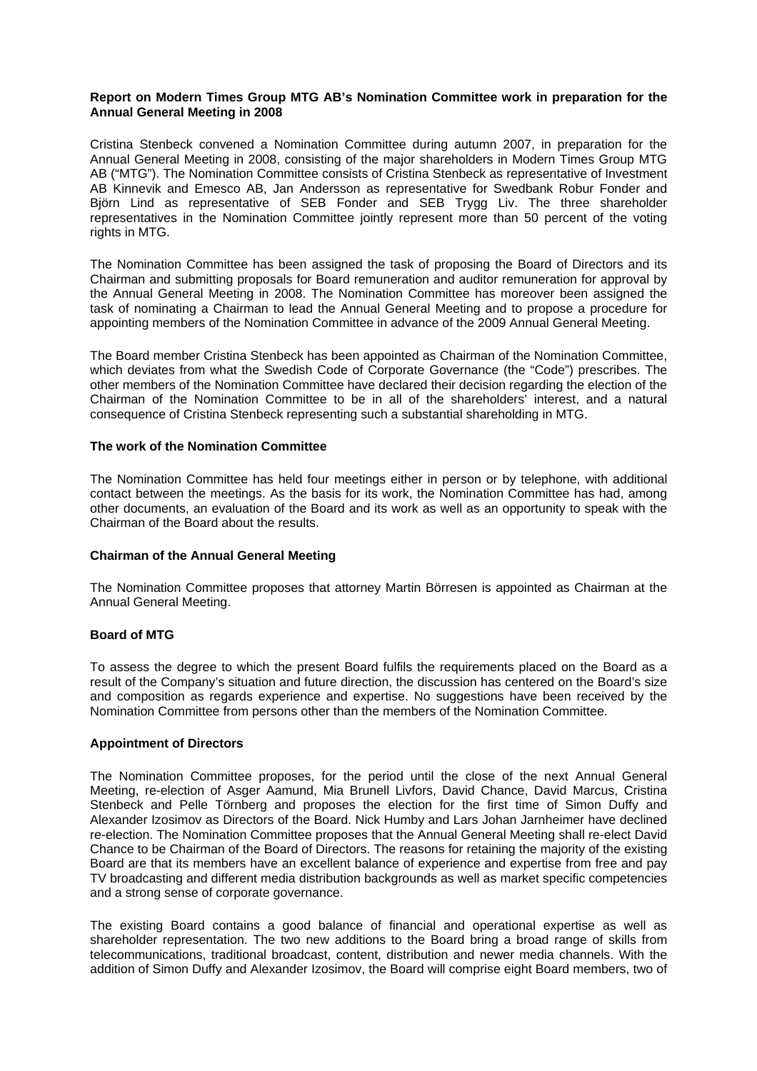## **Report on Modern Times Group MTG AB's Nomination Committee work in preparation for the Annual General Meeting in 2008**

Cristina Stenbeck convened a Nomination Committee during autumn 2007, in preparation for the Annual General Meeting in 2008, consisting of the major shareholders in Modern Times Group MTG AB ("MTG"). The Nomination Committee consists of Cristina Stenbeck as representative of Investment AB Kinnevik and Emesco AB, Jan Andersson as representative for Swedbank Robur Fonder and Björn Lind as representative of SEB Fonder and SEB Trygg Liv. The three shareholder representatives in the Nomination Committee jointly represent more than 50 percent of the voting rights in MTG.

The Nomination Committee has been assigned the task of proposing the Board of Directors and its Chairman and submitting proposals for Board remuneration and auditor remuneration for approval by the Annual General Meeting in 2008. The Nomination Committee has moreover been assigned the task of nominating a Chairman to lead the Annual General Meeting and to propose a procedure for appointing members of the Nomination Committee in advance of the 2009 Annual General Meeting.

The Board member Cristina Stenbeck has been appointed as Chairman of the Nomination Committee, which deviates from what the Swedish Code of Corporate Governance (the "Code") prescribes. The other members of the Nomination Committee have declared their decision regarding the election of the Chairman of the Nomination Committee to be in all of the shareholders' interest, and a natural consequence of Cristina Stenbeck representing such a substantial shareholding in MTG.

## **The work of the Nomination Committee**

The Nomination Committee has held four meetings either in person or by telephone, with additional contact between the meetings. As the basis for its work, the Nomination Committee has had, among other documents, an evaluation of the Board and its work as well as an opportunity to speak with the Chairman of the Board about the results.

# **Chairman of the Annual General Meeting**

The Nomination Committee proposes that attorney Martin Börresen is appointed as Chairman at the Annual General Meeting.

# **Board of MTG**

To assess the degree to which the present Board fulfils the requirements placed on the Board as a result of the Company's situation and future direction, the discussion has centered on the Board's size and composition as regards experience and expertise. No suggestions have been received by the Nomination Committee from persons other than the members of the Nomination Committee.

## **Appointment of Directors**

The Nomination Committee proposes, for the period until the close of the next Annual General Meeting, re-election of Asger Aamund, Mia Brunell Livfors, David Chance, David Marcus, Cristina Stenbeck and Pelle Törnberg and proposes the election for the first time of Simon Duffy and Alexander Izosimov as Directors of the Board. Nick Humby and Lars Johan Jarnheimer have declined re-election. The Nomination Committee proposes that the Annual General Meeting shall re-elect David Chance to be Chairman of the Board of Directors. The reasons for retaining the majority of the existing Board are that its members have an excellent balance of experience and expertise from free and pay TV broadcasting and different media distribution backgrounds as well as market specific competencies and a strong sense of corporate governance.

The existing Board contains a good balance of financial and operational expertise as well as shareholder representation. The two new additions to the Board bring a broad range of skills from telecommunications, traditional broadcast, content, distribution and newer media channels. With the addition of Simon Duffy and Alexander Izosimov, the Board will comprise eight Board members, two of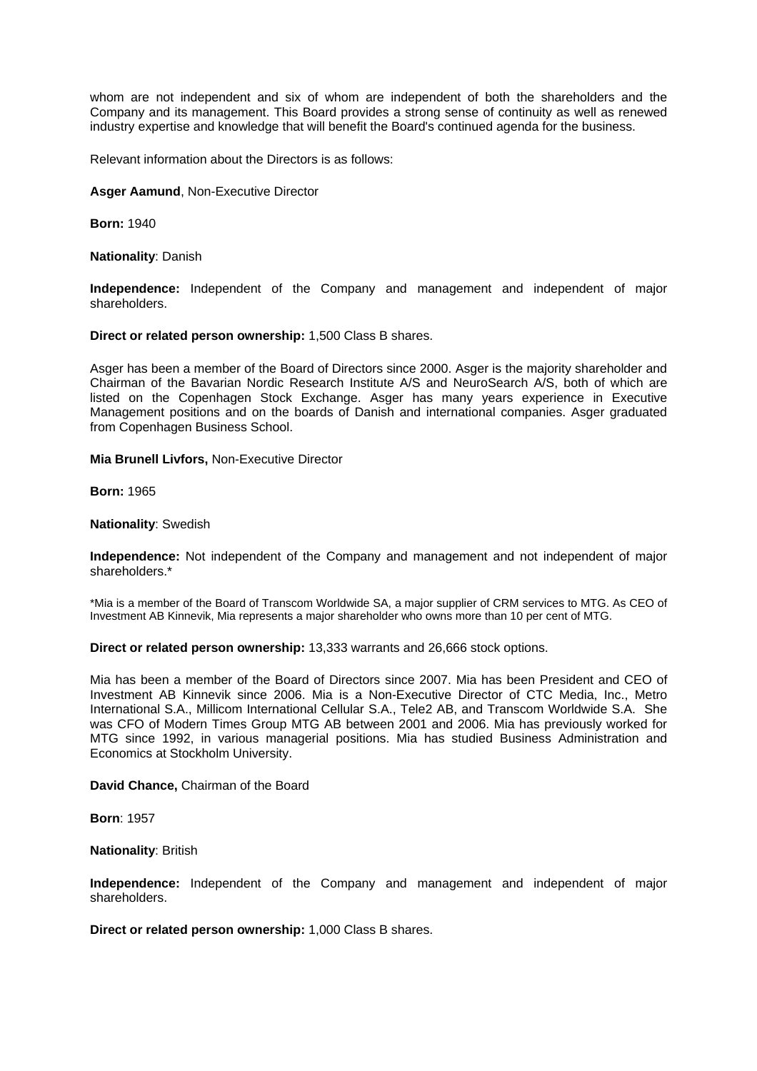whom are not independent and six of whom are independent of both the shareholders and the Company and its management. This Board provides a strong sense of continuity as well as renewed industry expertise and knowledge that will benefit the Board's continued agenda for the business.

Relevant information about the Directors is as follows:

#### **Asger Aamund**, Non-Executive Director

**Born:** 1940

**Nationality**: Danish

**Independence:** Independent of the Company and management and independent of major shareholders.

**Direct or related person ownership:** 1,500 Class B shares.

Asger has been a member of the Board of Directors since 2000. Asger is the majority shareholder and Chairman of the Bavarian Nordic Research Institute A/S and NeuroSearch A/S, both of which are listed on the Copenhagen Stock Exchange. Asger has many years experience in Executive Management positions and on the boards of Danish and international companies. Asger graduated from Copenhagen Business School.

**Mia Brunell Livfors,** Non-Executive Director

**Born:** 1965

#### **Nationality**: Swedish

**Independence:** Not independent of the Company and management and not independent of major shareholders.\*

\*Mia is a member of the Board of Transcom Worldwide SA, a major supplier of CRM services to MTG. As CEO of Investment AB Kinnevik, Mia represents a major shareholder who owns more than 10 per cent of MTG.

**Direct or related person ownership:** 13,333 warrants and 26,666 stock options.

Mia has been a member of the Board of Directors since 2007. Mia has been President and CEO of Investment AB Kinnevik since 2006. Mia is a Non-Executive Director of CTC Media, Inc., Metro International S.A., Millicom International Cellular S.A., Tele2 AB, and Transcom Worldwide S.A. She was CFO of Modern Times Group MTG AB between 2001 and 2006. Mia has previously worked for MTG since 1992, in various managerial positions. Mia has studied Business Administration and Economics at Stockholm University.

**David Chance,** Chairman of the Board

**Born**: 1957

**Nationality**: British

**Independence:** Independent of the Company and management and independent of major shareholders.

**Direct or related person ownership:** 1,000 Class B shares.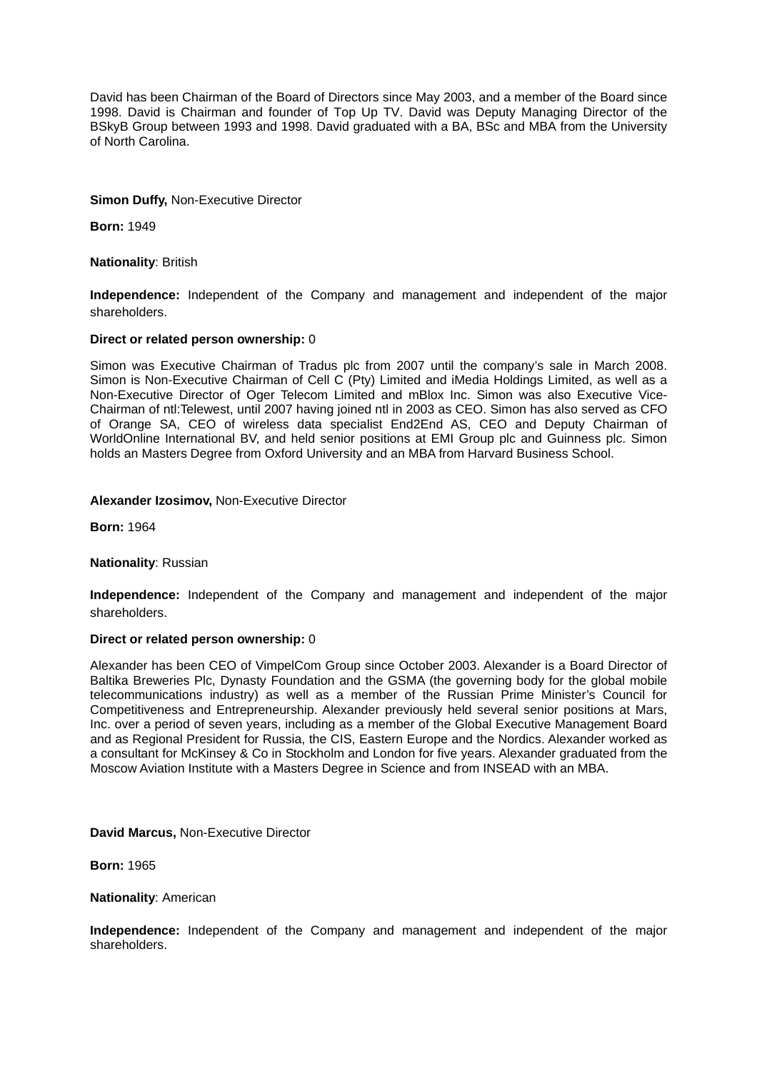David has been Chairman of the Board of Directors since May 2003, and a member of the Board since 1998. David is Chairman and founder of Top Up TV. David was Deputy Managing Director of the BSkyB Group between 1993 and 1998. David graduated with a BA, BSc and MBA from the University of North Carolina.

## **Simon Duffy,** Non-Executive Director

**Born:** 1949

**Nationality**: British

**Independence:** Independent of the Company and management and independent of the major shareholders.

## **Direct or related person ownership:** 0

Simon was Executive Chairman of Tradus plc from 2007 until the company's sale in March 2008. Simon is Non-Executive Chairman of Cell C (Pty) Limited and iMedia Holdings Limited, as well as a Non-Executive Director of Oger Telecom Limited and mBlox Inc. Simon was also Executive Vice-Chairman of ntl:Telewest, until 2007 having joined ntl in 2003 as CEO. Simon has also served as CFO of Orange SA, CEO of wireless data specialist End2End AS, CEO and Deputy Chairman of WorldOnline International BV, and held senior positions at EMI Group plc and Guinness plc. Simon holds an Masters Degree from Oxford University and an MBA from Harvard Business School.

## **Alexander Izosimov,** Non-Executive Director

**Born:** 1964

## **Nationality**: Russian

**Independence:** Independent of the Company and management and independent of the major shareholders.

## **Direct or related person ownership:** 0

Alexander has been CEO of VimpelCom Group since October 2003. Alexander is a Board Director of Baltika Breweries Plc, Dynasty Foundation and the GSMA (the governing body for the global mobile telecommunications industry) as well as a member of the Russian Prime Minister's Council for Competitiveness and Entrepreneurship. Alexander previously held several senior positions at Mars, Inc. over a period of seven years, including as a member of the Global Executive Management Board and as Regional President for Russia, the CIS, Eastern Europe and the Nordics. Alexander worked as a consultant for McKinsey & Co in Stockholm and London for five years. Alexander graduated from the Moscow Aviation Institute with a Masters Degree in Science and from INSEAD with an MBA.

## **David Marcus,** Non-Executive Director

**Born:** 1965

## **Nationality**: American

**Independence:** Independent of the Company and management and independent of the major shareholders.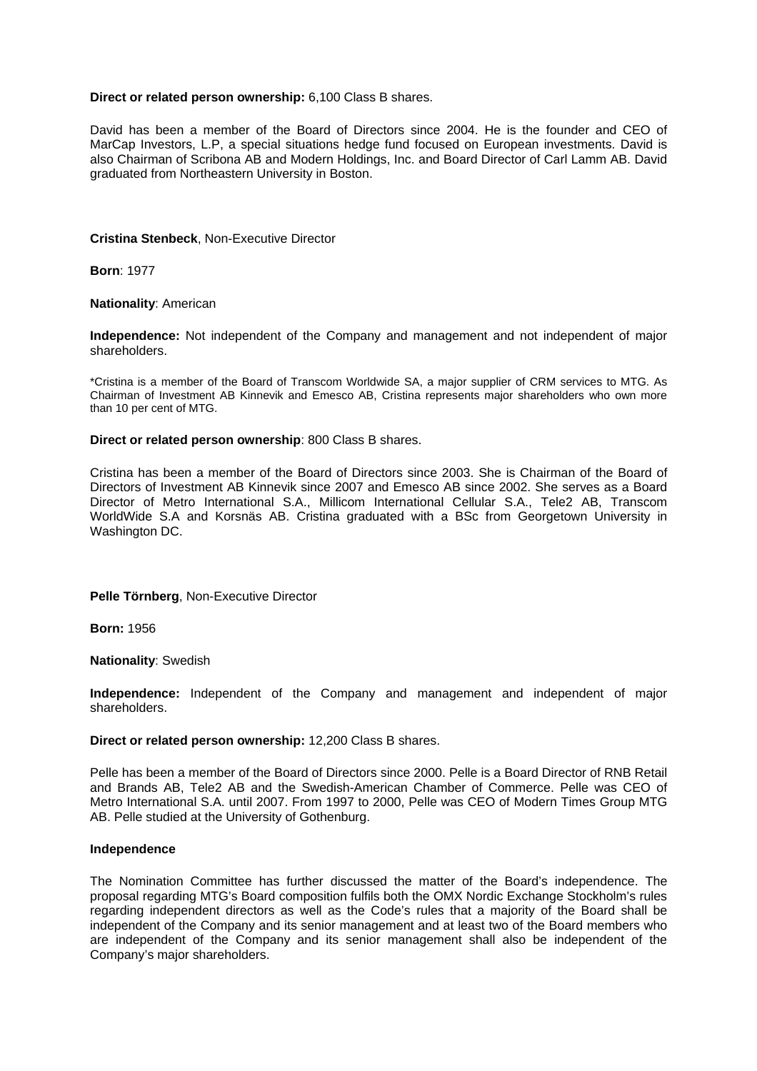### **Direct or related person ownership:** 6,100 Class B shares.

David has been a member of the Board of Directors since 2004. He is the founder and CEO of MarCap Investors, L.P, a special situations hedge fund focused on European investments. David is also Chairman of Scribona AB and Modern Holdings, Inc. and Board Director of Carl Lamm AB. David graduated from Northeastern University in Boston.

### **Cristina Stenbeck**, Non-Executive Director

**Born**: 1977

### **Nationality**: American

**Independence:** Not independent of the Company and management and not independent of major shareholders.

\*Cristina is a member of the Board of Transcom Worldwide SA, a major supplier of CRM services to MTG. As Chairman of Investment AB Kinnevik and Emesco AB, Cristina represents major shareholders who own more than 10 per cent of MTG.

#### **Direct or related person ownership**: 800 Class B shares.

Cristina has been a member of the Board of Directors since 2003. She is Chairman of the Board of Directors of Investment AB Kinnevik since 2007 and Emesco AB since 2002. She serves as a Board Director of Metro International S.A., Millicom International Cellular S.A., Tele2 AB, Transcom WorldWide S.A and Korsnäs AB. Cristina graduated with a BSc from Georgetown University in Washington DC.

## **Pelle Törnberg**, Non-Executive Director

**Born:** 1956

**Nationality**: Swedish

**Independence:** Independent of the Company and management and independent of major shareholders.

#### **Direct or related person ownership:** 12,200 Class B shares.

Pelle has been a member of the Board of Directors since 2000. Pelle is a Board Director of RNB Retail and Brands AB, Tele2 AB and the Swedish-American Chamber of Commerce. Pelle was CEO of Metro International S.A. until 2007. From 1997 to 2000, Pelle was CEO of Modern Times Group MTG AB. Pelle studied at the University of Gothenburg.

#### **Independence**

The Nomination Committee has further discussed the matter of the Board's independence. The proposal regarding MTG's Board composition fulfils both the OMX Nordic Exchange Stockholm's rules regarding independent directors as well as the Code's rules that a majority of the Board shall be independent of the Company and its senior management and at least two of the Board members who are independent of the Company and its senior management shall also be independent of the Company's major shareholders.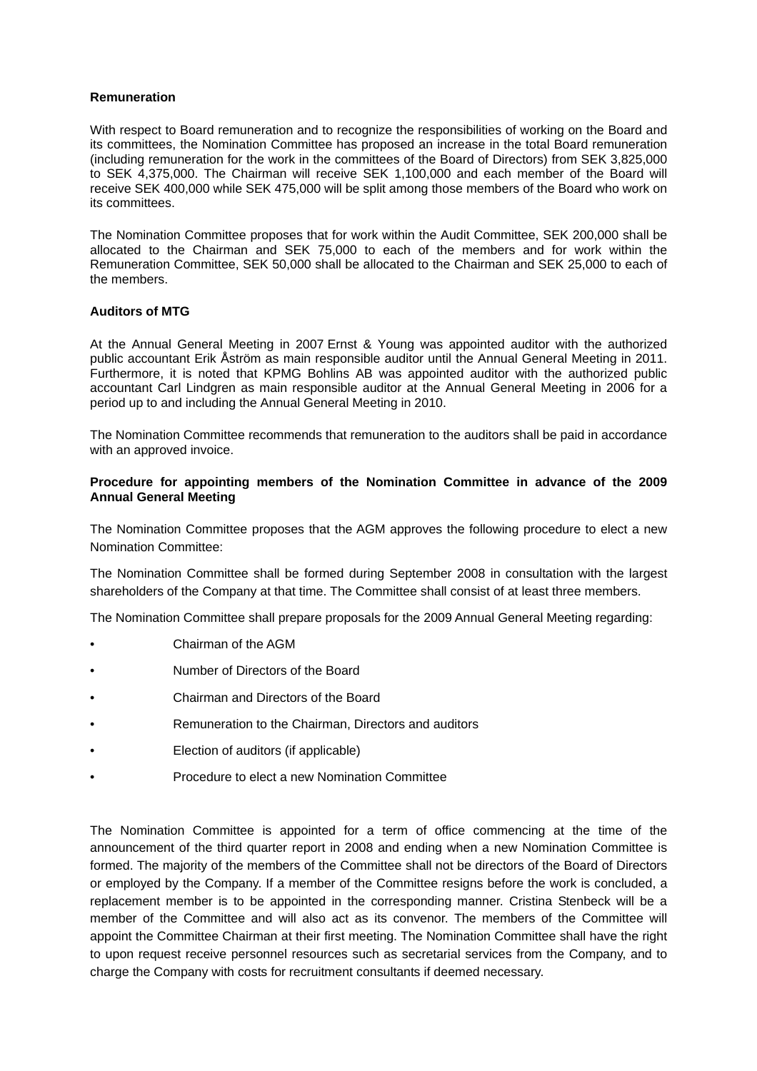## **Remuneration**

With respect to Board remuneration and to recognize the responsibilities of working on the Board and its committees, the Nomination Committee has proposed an increase in the total Board remuneration (including remuneration for the work in the committees of the Board of Directors) from SEK 3,825,000 to SEK 4,375,000. The Chairman will receive SEK 1,100,000 and each member of the Board will receive SEK 400,000 while SEK 475,000 will be split among those members of the Board who work on its committees.

The Nomination Committee proposes that for work within the Audit Committee, SEK 200,000 shall be allocated to the Chairman and SEK 75,000 to each of the members and for work within the Remuneration Committee, SEK 50,000 shall be allocated to the Chairman and SEK 25,000 to each of the members.

## **Auditors of MTG**

At the Annual General Meeting in 2007 Ernst & Young was appointed auditor with the authorized public accountant Erik Åström as main responsible auditor until the Annual General Meeting in 2011. Furthermore, it is noted that KPMG Bohlins AB was appointed auditor with the authorized public accountant Carl Lindgren as main responsible auditor at the Annual General Meeting in 2006 for a period up to and including the Annual General Meeting in 2010.

The Nomination Committee recommends that remuneration to the auditors shall be paid in accordance with an approved invoice.

## **Procedure for appointing members of the Nomination Committee in advance of the 2009 Annual General Meeting**

The Nomination Committee proposes that the AGM approves the following procedure to elect a new Nomination Committee:

The Nomination Committee shall be formed during September 2008 in consultation with the largest shareholders of the Company at that time. The Committee shall consist of at least three members.

The Nomination Committee shall prepare proposals for the 2009 Annual General Meeting regarding:

- Chairman of the AGM
- Number of Directors of the Board
- Chairman and Directors of the Board
- Remuneration to the Chairman, Directors and auditors
- Election of auditors (if applicable)
- Procedure to elect a new Nomination Committee

The Nomination Committee is appointed for a term of office commencing at the time of the announcement of the third quarter report in 2008 and ending when a new Nomination Committee is formed. The majority of the members of the Committee shall not be directors of the Board of Directors or employed by the Company. If a member of the Committee resigns before the work is concluded, a replacement member is to be appointed in the corresponding manner. Cristina Stenbeck will be a member of the Committee and will also act as its convenor. The members of the Committee will appoint the Committee Chairman at their first meeting. The Nomination Committee shall have the right to upon request receive personnel resources such as secretarial services from the Company, and to charge the Company with costs for recruitment consultants if deemed necessary.